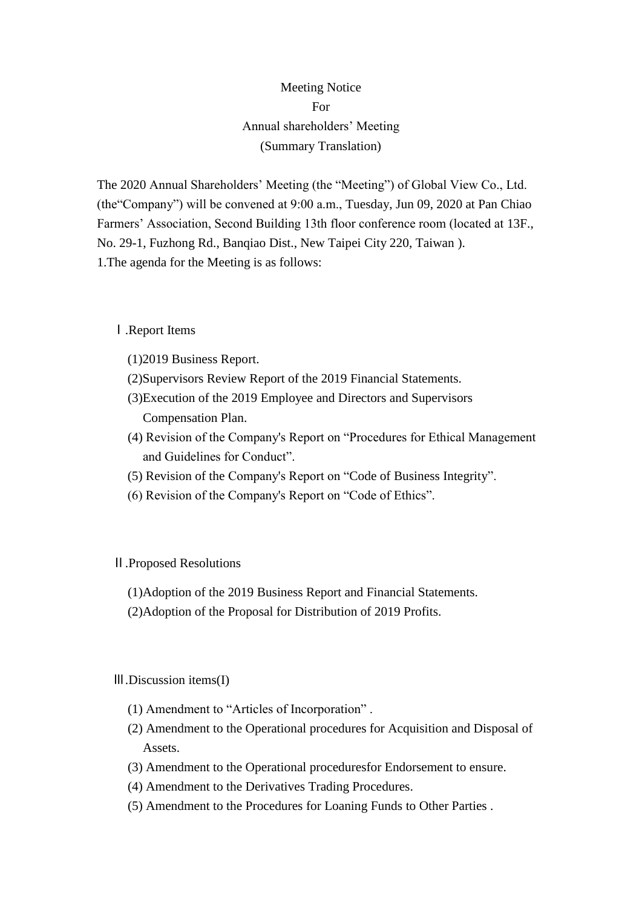## Meeting Notice For Annual shareholders' Meeting (Summary Translation)

The 2020 Annual Shareholders' Meeting (the "Meeting") of Global View Co., Ltd. (the"Company") will be convened at 9:00 a.m., Tuesday, Jun 09, 2020 at Pan Chiao Farmers' Association, Second Building 13th floor conference room (located at 13F., No. 29-1, Fuzhong Rd., Banqiao Dist., New Taipei City 220, Taiwan ). 1.The agenda for the Meeting is as follows:

Ⅰ.Report Items

- (1)2019 Business Report.
- (2)Supervisors Review Report of the 2019 Financial Statements.
- (3)Execution of the 2019 Employee and Directors and Supervisors Compensation Plan.
- (4) Revision of the Company's Report on "Procedures for Ethical Management and Guidelines for Conduct".
- (5) Revision of the Company's Report on "Code of Business Integrity".
- (6) Revision of the Company's Report on "Code of Ethics".

## Ⅱ.Proposed Resolutions

- (1)Adoption of the 2019 Business Report and Financial Statements.
- (2)Adoption of the Proposal for Distribution of 2019 Profits.

## Ⅲ.Discussion items(I)

- (1) Amendment to "Articles of Incorporation" .
- (2) Amendment to the Operational procedures for Acquisition and Disposal of Assets.
- (3) Amendment to the Operational proceduresfor Endorsement to ensure.
- (4) Amendment to the Derivatives Trading Procedures.
- (5) Amendment to the Procedures for Loaning Funds to Other Parties .